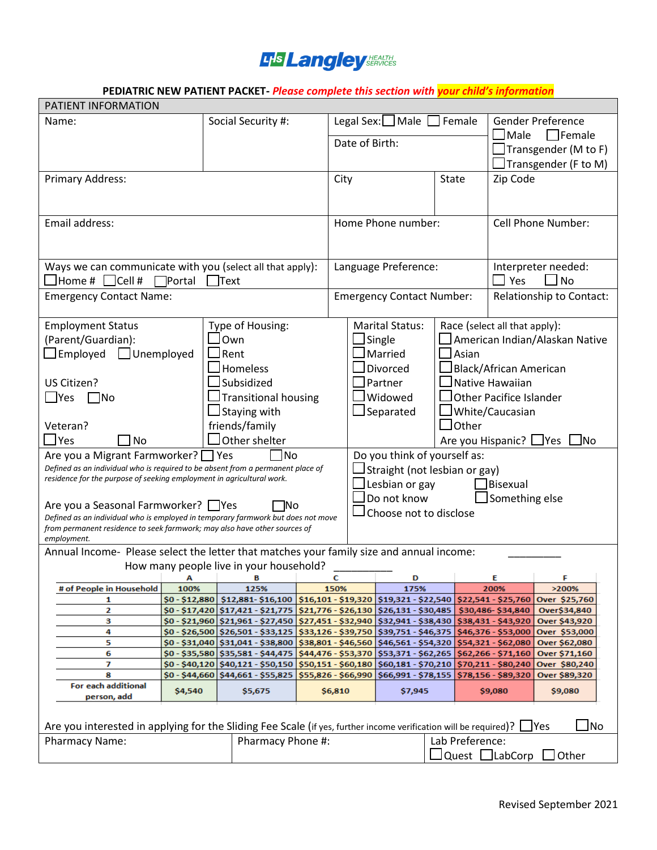

## **PEDIATRIC NEW PATIENT PACKET-** *Please complete this section with your child's information*

| PATIENT INFORMATION                                                                                              |                                                                                |                                                                                                        |                     |                                                                 |                                  |       |                                           |                                |
|------------------------------------------------------------------------------------------------------------------|--------------------------------------------------------------------------------|--------------------------------------------------------------------------------------------------------|---------------------|-----------------------------------------------------------------|----------------------------------|-------|-------------------------------------------|--------------------------------|
| Name:                                                                                                            | Social Security #:                                                             |                                                                                                        |                     | Legal Sex: $\Box$ Male $\Box$ Female                            |                                  |       |                                           | Gender Preference              |
|                                                                                                                  |                                                                                |                                                                                                        |                     | Date of Birth:                                                  |                                  |       | $\mathsf{\mathsf{I}}$ Male                | $\Box$ Female                  |
|                                                                                                                  |                                                                                |                                                                                                        |                     |                                                                 |                                  |       |                                           | Transgender (M to F)           |
|                                                                                                                  |                                                                                |                                                                                                        |                     |                                                                 |                                  |       |                                           | Transgender (F to M)           |
| Primary Address:                                                                                                 |                                                                                |                                                                                                        | City                |                                                                 |                                  | State | Zip Code                                  |                                |
|                                                                                                                  |                                                                                |                                                                                                        |                     |                                                                 |                                  |       |                                           |                                |
|                                                                                                                  |                                                                                |                                                                                                        |                     |                                                                 |                                  |       |                                           |                                |
| Email address:                                                                                                   |                                                                                |                                                                                                        |                     |                                                                 | Home Phone number:               |       |                                           | Cell Phone Number:             |
|                                                                                                                  |                                                                                |                                                                                                        |                     |                                                                 |                                  |       |                                           |                                |
|                                                                                                                  |                                                                                |                                                                                                        |                     |                                                                 |                                  |       |                                           |                                |
|                                                                                                                  |                                                                                |                                                                                                        |                     |                                                                 |                                  |       |                                           |                                |
| Ways we can communicate with you (select all that apply):                                                        |                                                                                |                                                                                                        |                     |                                                                 | Language Preference:             |       |                                           | Interpreter needed:            |
| $\Box$ Home # $\Box$ Cell #                                                                                      | $\Box$ Portal                                                                  | Text                                                                                                   |                     |                                                                 |                                  |       | Yes                                       | <b>No</b>                      |
| <b>Emergency Contact Name:</b>                                                                                   |                                                                                |                                                                                                        |                     |                                                                 | <b>Emergency Contact Number:</b> |       |                                           | Relationship to Contact:       |
|                                                                                                                  |                                                                                |                                                                                                        |                     |                                                                 |                                  |       |                                           |                                |
| <b>Employment Status</b>                                                                                         |                                                                                | Type of Housing:                                                                                       |                     |                                                                 | <b>Marital Status:</b>           |       | Race (select all that apply):             |                                |
| (Parent/Guardian):                                                                                               |                                                                                | Own                                                                                                    |                     |                                                                 | $\sqrt{\frac{1}{2}}$ Single      |       |                                           | American Indian/Alaskan Native |
| $\Box$ Unemployed<br>Employed                                                                                    |                                                                                | Rent                                                                                                   |                     |                                                                 | Married                          | Asian |                                           |                                |
|                                                                                                                  |                                                                                | Homeless                                                                                               |                     |                                                                 | Divorced                         |       | <b>Black/African American</b>             |                                |
| US Citizen?                                                                                                      |                                                                                | <b>Subsidized</b>                                                                                      |                     |                                                                 | Partner                          |       | Native Hawaiian                           |                                |
|                                                                                                                  |                                                                                |                                                                                                        |                     |                                                                 |                                  |       |                                           |                                |
| $\Box$ Yes<br> No                                                                                                |                                                                                | $\Box$ Transitional housing                                                                            |                     | Widowed<br><b>Other Pacifice Islander</b>                       |                                  |       |                                           |                                |
|                                                                                                                  |                                                                                | Staying with                                                                                           |                     | <b>Separated</b><br>White/Caucasian                             |                                  |       |                                           |                                |
| Veteran?                                                                                                         |                                                                                | friends/family                                                                                         |                     | Other                                                           |                                  |       |                                           |                                |
| $\square$ Yes<br>No                                                                                              |                                                                                | Other shelter                                                                                          |                     | Are you Hispanic? ∐Yes □No                                      |                                  |       |                                           |                                |
| l No<br>Are you a Migrant Farmworker? PYes                                                                       |                                                                                |                                                                                                        |                     |                                                                 | Do you think of yourself as:     |       |                                           |                                |
| Defined as an individual who is required to be absent from a permanent place of                                  |                                                                                |                                                                                                        |                     |                                                                 | Straight (not lesbian or gay)    |       |                                           |                                |
| residence for the purpose of seeking employment in agricultural work.                                            |                                                                                |                                                                                                        |                     |                                                                 | Lesbian or gay                   |       | $\Box$ Bisexual                           |                                |
|                                                                                                                  |                                                                                |                                                                                                        |                     |                                                                 | Do not know                      |       | Something else                            |                                |
| Are you a Seasonal Farmworker? Pres                                                                              |                                                                                | INo                                                                                                    |                     |                                                                 | Choose not to disclose           |       |                                           |                                |
| Defined as an individual who is employed in temporary farmwork but does not move                                 |                                                                                |                                                                                                        |                     |                                                                 |                                  |       |                                           |                                |
| from permanent residence to seek farmwork; may also have other sources of<br>employment.                         |                                                                                |                                                                                                        |                     |                                                                 |                                  |       |                                           |                                |
| Annual Income- Please select the letter that matches your family size and annual income:                         |                                                                                |                                                                                                        |                     |                                                                 |                                  |       |                                           |                                |
|                                                                                                                  |                                                                                | How many people live in your household?                                                                |                     |                                                                 |                                  |       |                                           |                                |
|                                                                                                                  | А                                                                              |                                                                                                        | с                   |                                                                 |                                  |       | Ε                                         | F                              |
| # of People in Household                                                                                         | 100%                                                                           | 125%                                                                                                   | 150%                |                                                                 | 175%                             |       | 200%                                      | >200%                          |
| 1                                                                                                                | \$0 - \$12,880                                                                 | \$12,881-\$16,100                                                                                      | \$16,101 - \$19,320 |                                                                 |                                  |       | \$19,321 - \$22,540 \$22,541 - \$25,760   | Over \$25,760                  |
| 2                                                                                                                |                                                                                | \$0 - \$17,420   \$17,421 - \$21,775   \$21,776 - \$26,130   \$26,131 - \$30,485   \$30,486- \$34,840  |                     |                                                                 |                                  |       |                                           | Over\$34,840                   |
| з                                                                                                                |                                                                                | \$0 - \$21,960   \$21,961 - \$27,450   \$27,451 - \$32,940   \$32,941 - \$38,430   \$38,431 - \$43,920 |                     |                                                                 |                                  |       |                                           | Over \$43,920                  |
| 4<br>5                                                                                                           |                                                                                | \$0 - \$26,500   \$26,501 - \$33,125   \$33,126 - \$39,750   \$39,751 - \$46,375   \$46,376 - \$53,000 |                     | \$38,801 - \$46,560   \$46,561 - \$54,320   \$54,321 - \$62,080 |                                  |       |                                           | Over \$53,000<br>Over \$62,080 |
| 6                                                                                                                | \$0 - \$31,040   \$31,041 - \$38,800  <br>\$0 - \$35,580   \$35,581 - \$44,475 |                                                                                                        |                     | \$44,476 - \$53,370   \$53,371 - \$62,265   \$62,266 - \$71,160 |                                  |       |                                           | Over \$71,160                  |
| 7                                                                                                                | \$0 - \$40,120   \$40,121 - \$50,150                                           |                                                                                                        |                     | \$50,151 - \$60,180 \$60,181 - \$70,210 \$70,211 - \$80,240     |                                  |       |                                           | Over \$80,240                  |
| 8                                                                                                                | \$0 - \$44,660 \$44,661 - \$55,825                                             |                                                                                                        |                     | \$55,826 - \$66,990                                             |                                  |       | \$66,991 - \$78,155   \$78,156 - \$89,320 | Over \$89,320                  |
| For each additional                                                                                              | \$4,540<br>\$5,675                                                             |                                                                                                        |                     | \$7,945<br>\$6,810                                              |                                  |       | \$9,080                                   | \$9,080                        |
| person, add                                                                                                      |                                                                                |                                                                                                        |                     |                                                                 |                                  |       |                                           |                                |
|                                                                                                                  |                                                                                |                                                                                                        |                     |                                                                 |                                  |       |                                           |                                |
| Are you interested in applying for the Sliding Fee Scale (if yes, further income verification will be required)? |                                                                                |                                                                                                        |                     |                                                                 |                                  |       |                                           | <u>J</u> No<br><u>J</u> Yes    |
| Pharmacy Name:                                                                                                   |                                                                                |                                                                                                        | Pharmacy Phone #:   |                                                                 | Lab Preference:                  |       |                                           |                                |
|                                                                                                                  |                                                                                |                                                                                                        |                     |                                                                 |                                  |       | $\Box$ Quest $\Box$ LabCorp               | $\Box$ Other                   |
|                                                                                                                  |                                                                                |                                                                                                        |                     |                                                                 |                                  |       |                                           |                                |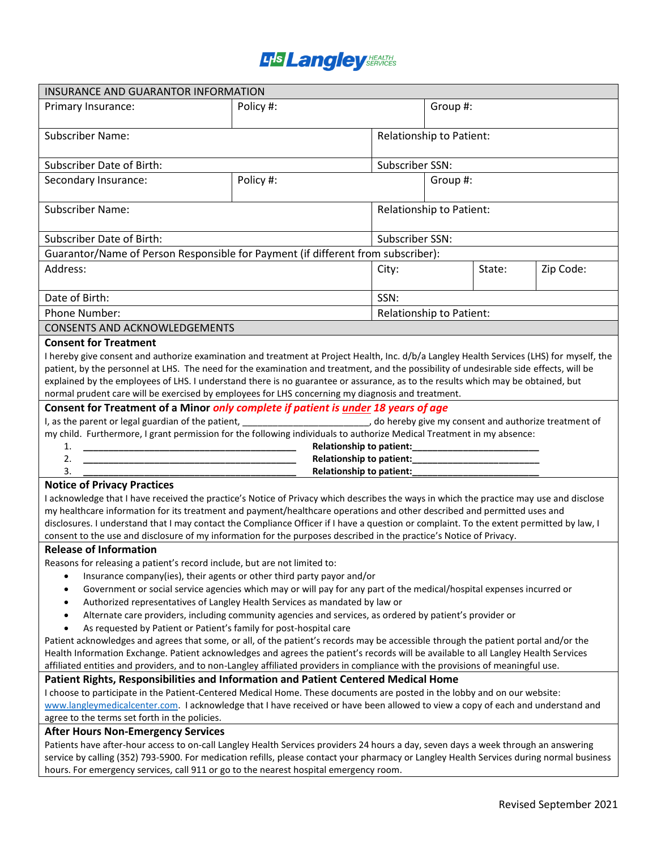# **LHS Langley HEALTH**

| INSURANCE AND GUARANTOR INFORMATION                                                                                                                                                                                                                                                                                                                                                                                                                                                                                                                                                                                                                                                                                                                                                                                                                                                                                                                                                                                                                      |           |                          |          |        |           |
|----------------------------------------------------------------------------------------------------------------------------------------------------------------------------------------------------------------------------------------------------------------------------------------------------------------------------------------------------------------------------------------------------------------------------------------------------------------------------------------------------------------------------------------------------------------------------------------------------------------------------------------------------------------------------------------------------------------------------------------------------------------------------------------------------------------------------------------------------------------------------------------------------------------------------------------------------------------------------------------------------------------------------------------------------------|-----------|--------------------------|----------|--------|-----------|
| Primary Insurance:                                                                                                                                                                                                                                                                                                                                                                                                                                                                                                                                                                                                                                                                                                                                                                                                                                                                                                                                                                                                                                       | Policy #: |                          | Group #: |        |           |
| <b>Subscriber Name:</b>                                                                                                                                                                                                                                                                                                                                                                                                                                                                                                                                                                                                                                                                                                                                                                                                                                                                                                                                                                                                                                  |           | Relationship to Patient: |          |        |           |
| Subscriber Date of Birth:                                                                                                                                                                                                                                                                                                                                                                                                                                                                                                                                                                                                                                                                                                                                                                                                                                                                                                                                                                                                                                |           | Subscriber SSN:          |          |        |           |
| Secondary Insurance:                                                                                                                                                                                                                                                                                                                                                                                                                                                                                                                                                                                                                                                                                                                                                                                                                                                                                                                                                                                                                                     | Policy #: |                          | Group #: |        |           |
| <b>Subscriber Name:</b>                                                                                                                                                                                                                                                                                                                                                                                                                                                                                                                                                                                                                                                                                                                                                                                                                                                                                                                                                                                                                                  |           | Relationship to Patient: |          |        |           |
| Subscriber Date of Birth:                                                                                                                                                                                                                                                                                                                                                                                                                                                                                                                                                                                                                                                                                                                                                                                                                                                                                                                                                                                                                                |           | Subscriber SSN:          |          |        |           |
| Guarantor/Name of Person Responsible for Payment (if different from subscriber):                                                                                                                                                                                                                                                                                                                                                                                                                                                                                                                                                                                                                                                                                                                                                                                                                                                                                                                                                                         |           |                          |          |        |           |
| Address:                                                                                                                                                                                                                                                                                                                                                                                                                                                                                                                                                                                                                                                                                                                                                                                                                                                                                                                                                                                                                                                 |           | City:                    |          | State: | Zip Code: |
| Date of Birth:                                                                                                                                                                                                                                                                                                                                                                                                                                                                                                                                                                                                                                                                                                                                                                                                                                                                                                                                                                                                                                           |           | SSN:                     |          |        |           |
| Phone Number:                                                                                                                                                                                                                                                                                                                                                                                                                                                                                                                                                                                                                                                                                                                                                                                                                                                                                                                                                                                                                                            |           | Relationship to Patient: |          |        |           |
| <b>CONSENTS AND ACKNOWLEDGEMENTS</b>                                                                                                                                                                                                                                                                                                                                                                                                                                                                                                                                                                                                                                                                                                                                                                                                                                                                                                                                                                                                                     |           |                          |          |        |           |
| <b>Consent for Treatment</b><br>I hereby give consent and authorize examination and treatment at Project Health, Inc. d/b/a Langley Health Services (LHS) for myself, the<br>patient, by the personnel at LHS. The need for the examination and treatment, and the possibility of undesirable side effects, will be<br>explained by the employees of LHS. I understand there is no guarantee or assurance, as to the results which may be obtained, but<br>normal prudent care will be exercised by employees for LHS concerning my diagnosis and treatment.                                                                                                                                                                                                                                                                                                                                                                                                                                                                                             |           |                          |          |        |           |
| I, as the parent or legal guardian of the patient, 1, 1, 1, 2, 2, 2, 2, 2, 3, 3, 40 hereby give my consent and authorize treatment of<br>my child. Furthermore, I grant permission for the following individuals to authorize Medical Treatment in my absence:<br>1.<br>Relationship to patient:<br><u>Letter and the subset of the subset of the subset of the subset of the subset of the subset of the subset of the subset of the subset of the subset of the subset of the subset of the subset of th</u><br>Relationship to patient:<br><u>Letter and the set of the set of the set of the set of the set of the set of the set of the set of the set of the set of the set of the set of the set of the set of the set of the set of the set </u><br>2.<br>3.<br>Relationship to patient:                                                                                                                                                                                                                                                         |           |                          |          |        |           |
| <b>Notice of Privacy Practices</b><br>I acknowledge that I have received the practice's Notice of Privacy which describes the ways in which the practice may use and disclose<br>my healthcare information for its treatment and payment/healthcare operations and other described and permitted uses and<br>disclosures. I understand that I may contact the Compliance Officer if I have a question or complaint. To the extent permitted by law, I<br>consent to the use and disclosure of my information for the purposes described in the practice's Notice of Privacy.                                                                                                                                                                                                                                                                                                                                                                                                                                                                             |           |                          |          |        |           |
| <b>Release of Information</b><br>Reasons for releasing a patient's record include, but are not limited to:<br>Insurance company(ies), their agents or other third party payor and/or<br>٠<br>Government or social service agencies which may or will pay for any part of the medical/hospital expenses incurred or<br>$\bullet$<br>Authorized representatives of Langley Health Services as mandated by law or<br>$\bullet$<br>Alternate care providers, including community agencies and services, as ordered by patient's provider or<br>$\bullet$<br>As requested by Patient or Patient's family for post-hospital care<br>$\bullet$<br>Patient acknowledges and agrees that some, or all, of the patient's records may be accessible through the patient portal and/or the<br>Health Information Exchange. Patient acknowledges and agrees the patient's records will be available to all Langley Health Services<br>affiliated entities and providers, and to non-Langley affiliated providers in compliance with the provisions of meaningful use. |           |                          |          |        |           |
| Patient Rights, Responsibilities and Information and Patient Centered Medical Home<br>I choose to participate in the Patient-Centered Medical Home. These documents are posted in the lobby and on our website:<br>www.langleymedicalcenter.com. I acknowledge that I have received or have been allowed to view a copy of each and understand and<br>agree to the terms set forth in the policies.                                                                                                                                                                                                                                                                                                                                                                                                                                                                                                                                                                                                                                                      |           |                          |          |        |           |
| <b>After Hours Non-Emergency Services</b><br>Patients have after-hour access to on-call Langley Health Services providers 24 hours a day, seven days a week through an answering<br>service by calling (352) 793-5900. For medication refills, please contact your pharmacy or Langley Health Services during normal business<br>hours. For emergency services, call 911 or go to the nearest hospital emergency room.                                                                                                                                                                                                                                                                                                                                                                                                                                                                                                                                                                                                                                   |           |                          |          |        |           |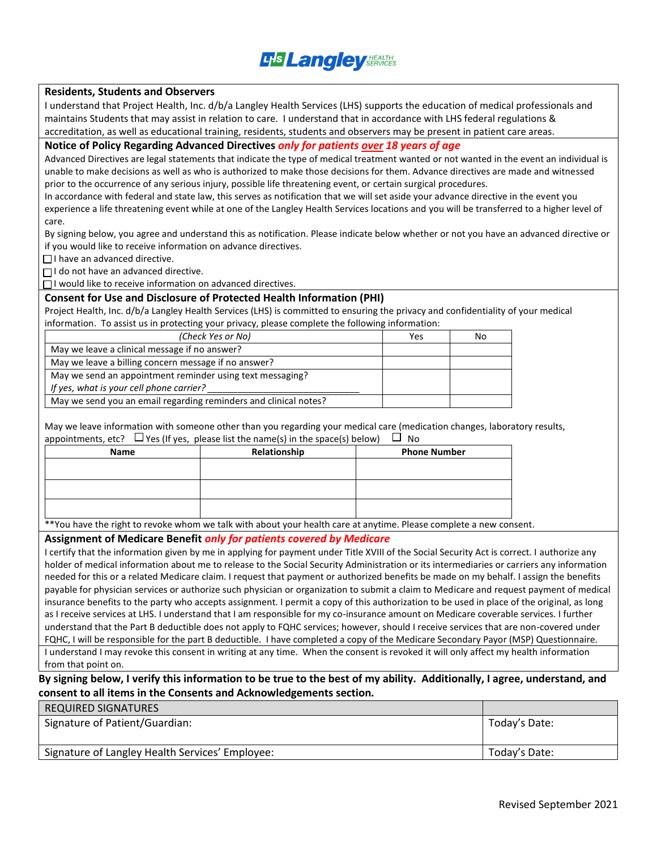## **L<sub>is</sub> Langley SERVICES</sub>**

## **Residents, Students and Observers**

I understand that Project Health, Inc. d/b/a Langley Health Services (LHS) supports the education of medical professionals and maintains Students that may assist in relation to care. I understand that in accordance with LHS federal regulations & accreditation, as well as educational training, residents, students and observers may be present in patient care areas.

## **Notice of Policy Regarding Advanced Directives** *only for patients over 18 years of age*

Advanced Directives are legal statements that indicate the type of medical treatment wanted or not wanted in the event an individual is unable to make decisions as well as who is authorized to make those decisions for them. Advance directives are made and witnessed prior to the occurrence of any serious injury, possible life threatening event, or certain surgical procedures.

In accordance with federal and state law, this serves as notification that we will set aside your advance directive in the event you experience a life threatening event while at one of the Langley Health Services locations and you will be transferred to a higher level of care.

By signing below, you agree and understand this as notification. Please indicate below whether or not you have an advanced directive or if you would like to receive information on advance directives.

 $\Box$  I have an advanced directive.

 $\Box$ I do not have an advanced directive.

 $\Box$  I would like to receive information on advanced directives.

#### **Consent for Use and Disclosure of Protected Health Information (PHI)**

Project Health, Inc. d/b/a Langley Health Services (LHS) is committed to ensuring the privacy and confidentiality of your medical information. To assist us in protecting your privacy, please complete the following information:

| (Check Yes or No)                                                | Yes | No |
|------------------------------------------------------------------|-----|----|
| May we leave a clinical message if no answer?                    |     |    |
| May we leave a billing concern message if no answer?             |     |    |
| May we send an appointment reminder using text messaging?        |     |    |
| If yes, what is your cell phone carrier?                         |     |    |
| May we send you an email regarding reminders and clinical notes? |     |    |

May we leave information with someone other than you regarding your medical care (medication changes, laboratory results, appointments, etc?  $\Box$  Yes (If yes, please list the name(s) in the space(s) below)  $\Box$  No

| Name | Relationship | <b>Phone Number</b> |
|------|--------------|---------------------|
|      |              |                     |
|      |              |                     |
|      |              |                     |
|      |              |                     |
|      |              |                     |

\*\*You have the right to revoke whom we talk with about your health care at anytime. Please complete a new consent.

## **Assignment of Medicare Benefit** *only for patients covered by Medicare*

I certify that the information given by me in applying for payment under Title XVIII of the Social Security Act is correct. I authorize any holder of medical information about me to release to the Social Security Administration or its intermediaries or carriers any information needed for this or a related Medicare claim. I request that payment or authorized benefits be made on my behalf. I assign the benefits payable for physician services or authorize such physician or organization to submit a claim to Medicare and request payment of medical insurance benefits to the party who accepts assignment. I permit a copy of this authorization to be used in place of the original, as long as I receive services at LHS. I understand that I am responsible for my co-insurance amount on Medicare coverable services. I further understand that the Part B deductible does not apply to FQHC services; however, should I receive services that are non-covered under FQHC, I will be responsible for the part B deductible. I have completed a copy of the Medicare Secondary Payor (MSP) Questionnaire. I understand I may revoke this consent in writing at any time. When the consent is revoked it will only affect my health information from that point on.

**By signing below, I verify this information to be true to the best of my ability. Additionally, I agree, understand, and consent to all items in the Consents and Acknowledgements section.**

| REQUIRED SIGNATURES                             |               |
|-------------------------------------------------|---------------|
| Signature of Patient/Guardian:                  | Today's Date: |
|                                                 |               |
| Signature of Langley Health Services' Employee: | Today's Date: |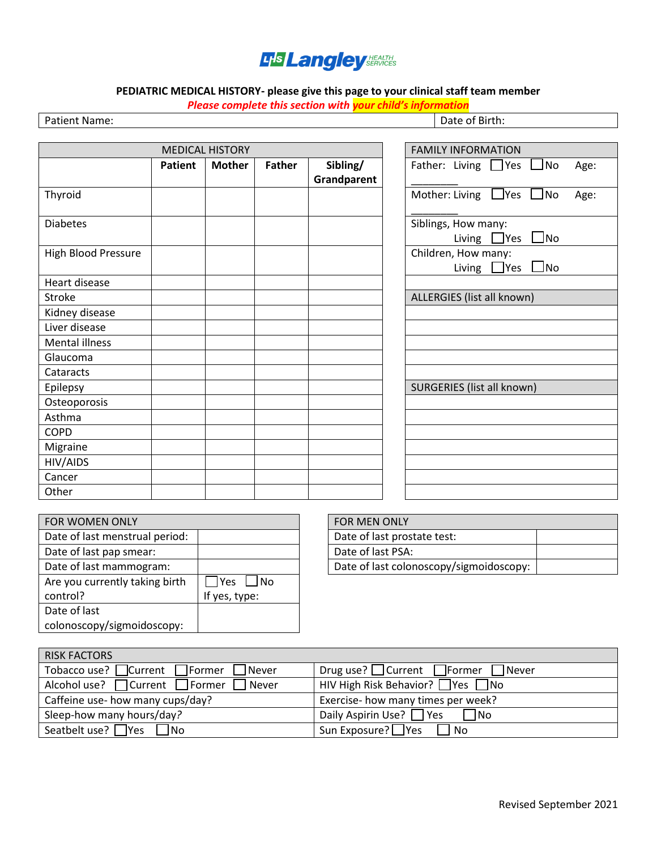# LHS Langley HEALTH

## **PEDIATRIC MEDICAL HISTORY- please give this page to your clinical staff team member**

*Please complete this section with your child's information*

|  | <b>Patient Name:</b> |
|--|----------------------|
|  |                      |

Date of Birth:

| <b>MEDICAL HISTORY</b> |                |               |               | <b>FAMILY INFORMATION</b> |                                                       |
|------------------------|----------------|---------------|---------------|---------------------------|-------------------------------------------------------|
|                        | <b>Patient</b> | <b>Mother</b> | <b>Father</b> | Sibling/<br>Grandparent   | Father: Living ■ Yes ■ No<br>Age:                     |
| Thyroid                |                |               |               |                           | Mother: Living $\Box$ Yes $\Box$ No<br>Age:           |
| <b>Diabetes</b>        |                |               |               |                           | Siblings, How many:<br>Living $\Box$ Yes<br>$\Box$ No |
| High Blood Pressure    |                |               |               |                           | Children, How many:<br>Living $\Box$ Yes $\Box$ No    |
| <b>Heart disease</b>   |                |               |               |                           |                                                       |
| Stroke                 |                |               |               |                           | ALLERGIES (list all known)                            |
| Kidney disease         |                |               |               |                           |                                                       |
| Liver disease          |                |               |               |                           |                                                       |
| Mental illness         |                |               |               |                           |                                                       |
| Glaucoma               |                |               |               |                           |                                                       |
| Cataracts              |                |               |               |                           |                                                       |
| Epilepsy               |                |               |               |                           | SURGERIES (list all known)                            |
| Osteoporosis           |                |               |               |                           |                                                       |
| Asthma                 |                |               |               |                           |                                                       |
| <b>COPD</b>            |                |               |               |                           |                                                       |
| Migraine               |                |               |               |                           |                                                       |
| HIV/AIDS               |                |               |               |                           |                                                       |
| Cancer                 |                |               |               |                           |                                                       |
| Other                  |                |               |               |                           |                                                       |
| FOR HIOMATHLONILY      |                |               |               | FOR MENIONING             |                                                       |

| <b>FOR WOMEN ONLY</b>          |                      | FOR MEN ONLY                            |
|--------------------------------|----------------------|-----------------------------------------|
| Date of last menstrual period: |                      | Date of last prostate test:             |
| Date of last pap smear:        |                      | Date of last PSA:                       |
| Date of last mammogram:        |                      | Date of last colonoscopy/sigmoidoscopy: |
| Are you currently taking birth | $\Box$ Yes $\Box$ No |                                         |
| control?                       | If yes, type:        |                                         |
| Date of last                   |                      |                                         |
| colonoscopy/sigmoidoscopy:     |                      |                                         |

| <b>FOR MEN ONLY</b>                     |  |
|-----------------------------------------|--|
| Date of last prostate test:             |  |
| Date of last PSA:                       |  |
| Date of last colonoscopy/sigmoidoscopy: |  |

| <b>RISK FACTORS</b>                                    |                                                     |  |
|--------------------------------------------------------|-----------------------------------------------------|--|
| Tobacco use? $\Box$ Current $\Box$ Former $\Box$ Never | Drug use? $\Box$ Current $\Box$ Former $\Box$ Never |  |
| Alcohol use? $\Box$ Current $\Box$ Former $\Box$ Never | HIV High Risk Behavior? $\Box$ Yes $\Box$ No        |  |
| Caffeine use- how many cups/day?                       | Exercise- how many times per week?                  |  |
| Sleep-how many hours/day?                              | Daily Aspirin Use? $\Box$ Yes $\Box$ No             |  |
| Seatbelt use? $\Box$ Yes $\Box$ No                     | Sun Exposure? PYes □ No                             |  |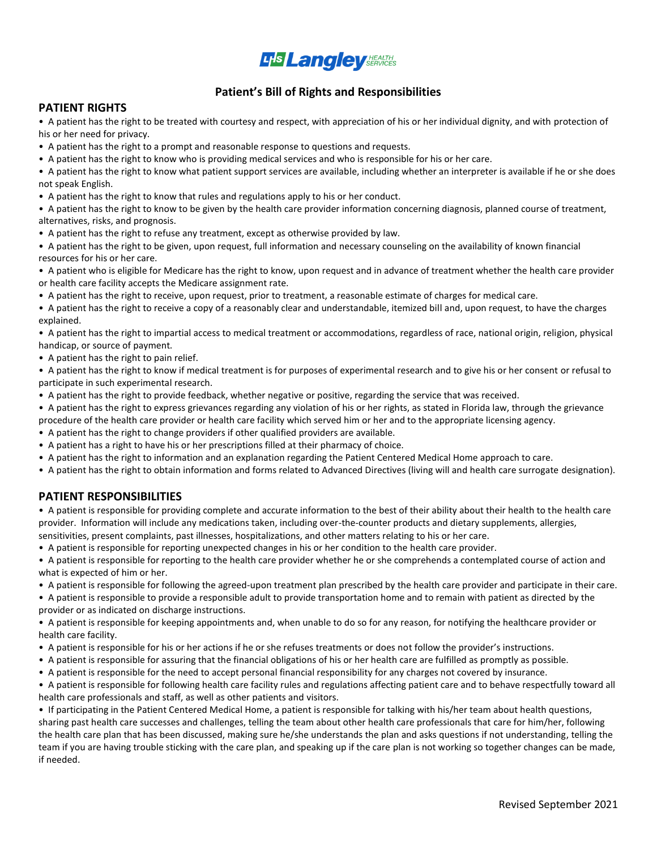## **LHS Langley SERVICES**

## **Patient's Bill of Rights and Responsibilities**

## **PATIENT RIGHTS**

• A patient has the right to be treated with courtesy and respect, with appreciation of his or her individual dignity, and with protection of his or her need for privacy.

- A patient has the right to a prompt and reasonable response to questions and requests.
- A patient has the right to know who is providing medical services and who is responsible for his or her care.

• A patient has the right to know what patient support services are available, including whether an interpreter is available if he or she does not speak English.

• A patient has the right to know that rules and regulations apply to his or her conduct.

• A patient has the right to know to be given by the health care provider information concerning diagnosis, planned course of treatment, alternatives, risks, and prognosis.

- A patient has the right to refuse any treatment, except as otherwise provided by law.
- A patient has the right to be given, upon request, full information and necessary counseling on the availability of known financial resources for his or her care.
- A patient who is eligible for Medicare has the right to know, upon request and in advance of treatment whether the health care provider or health care facility accepts the Medicare assignment rate.
- A patient has the right to receive, upon request, prior to treatment, a reasonable estimate of charges for medical care.
- A patient has the right to receive a copy of a reasonably clear and understandable, itemized bill and, upon request, to have the charges explained.

• A patient has the right to impartial access to medical treatment or accommodations, regardless of race, national origin, religion, physical handicap, or source of payment.

- A patient has the right to pain relief.
- A patient has the right to know if medical treatment is for purposes of experimental research and to give his or her consent or refusal to participate in such experimental research.
- A patient has the right to provide feedback, whether negative or positive, regarding the service that was received.
- A patient has the right to express grievances regarding any violation of his or her rights, as stated in Florida law, through the grievance
- procedure of the health care provider or health care facility which served him or her and to the appropriate licensing agency.
- A patient has the right to change providers if other qualified providers are available.
- A patient has a right to have his or her prescriptions filled at their pharmacy of choice.
- A patient has the right to information and an explanation regarding the Patient Centered Medical Home approach to care.
- A patient has the right to obtain information and forms related to Advanced Directives (living will and health care surrogate designation).

## **PATIENT RESPONSIBILITIES**

• A patient is responsible for providing complete and accurate information to the best of their ability about their health to the health care provider. Information will include any medications taken, including over-the-counter products and dietary supplements, allergies,

sensitivities, present complaints, past illnesses, hospitalizations, and other matters relating to his or her care. • A patient is responsible for reporting unexpected changes in his or her condition to the health care provider.

• A patient is responsible for reporting to the health care provider whether he or she comprehends a contemplated course of action and what is expected of him or her.

- A patient is responsible for following the agreed-upon treatment plan prescribed by the health care provider and participate in their care.
- A patient is responsible to provide a responsible adult to provide transportation home and to remain with patient as directed by the provider or as indicated on discharge instructions.

• A patient is responsible for keeping appointments and, when unable to do so for any reason, for notifying the healthcare provider or health care facility.

- A patient is responsible for his or her actions if he or she refuses treatments or does not follow the provider's instructions.
- A patient is responsible for assuring that the financial obligations of his or her health care are fulfilled as promptly as possible.
- A patient is responsible for the need to accept personal financial responsibility for any charges not covered by insurance.

• A patient is responsible for following health care facility rules and regulations affecting patient care and to behave respectfully toward all health care professionals and staff, as well as other patients and visitors.

• If participating in the Patient Centered Medical Home, a patient is responsible for talking with his/her team about health questions, sharing past health care successes and challenges, telling the team about other health care professionals that care for him/her, following the health care plan that has been discussed, making sure he/she understands the plan and asks questions if not understanding, telling the team if you are having trouble sticking with the care plan, and speaking up if the care plan is not working so together changes can be made, if needed.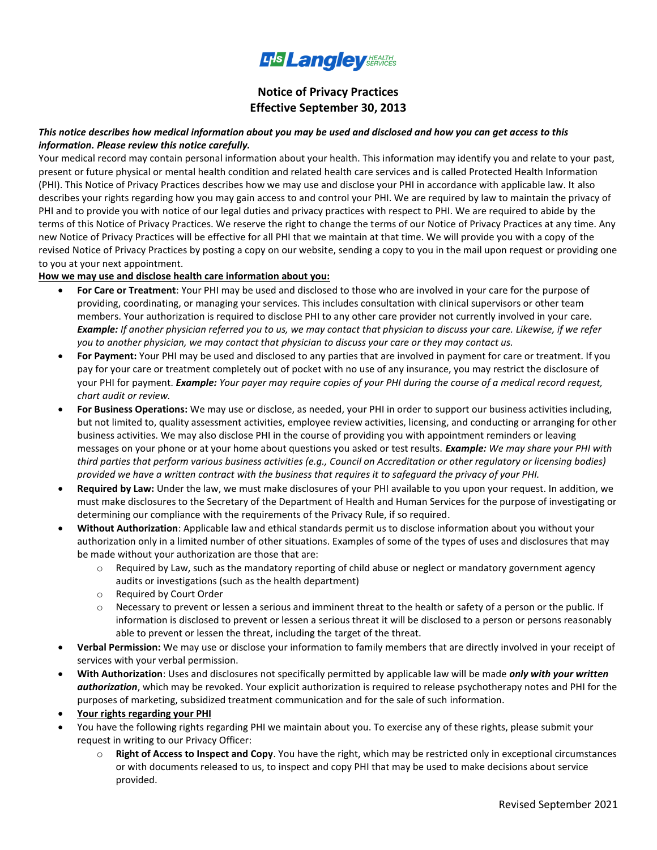

## **Notice of Privacy Practices Effective September 30, 2013**

## *This notice describes how medical information about you may be used and disclosed and how you can get access to this information. Please review this notice carefully.*

Your medical record may contain personal information about your health. This information may identify you and relate to your past, present or future physical or mental health condition and related health care services and is called Protected Health Information (PHI). This Notice of Privacy Practices describes how we may use and disclose your PHI in accordance with applicable law. It also describes your rights regarding how you may gain access to and control your PHI. We are required by law to maintain the privacy of PHI and to provide you with notice of our legal duties and privacy practices with respect to PHI. We are required to abide by the terms of this Notice of Privacy Practices. We reserve the right to change the terms of our Notice of Privacy Practices at any time. Any new Notice of Privacy Practices will be effective for all PHI that we maintain at that time. We will provide you with a copy of the revised Notice of Privacy Practices by posting a copy on our website, sending a copy to you in the mail upon request or providing one to you at your next appointment.

#### **How we may use and disclose health care information about you:**

- **For Care or Treatment**: Your PHI may be used and disclosed to those who are involved in your care for the purpose of providing, coordinating, or managing your services. This includes consultation with clinical supervisors or other team members. Your authorization is required to disclose PHI to any other care provider not currently involved in your care. *Example: If another physician referred you to us, we may contact that physician to discuss your care. Likewise, if we refer you to another physician, we may contact that physician to discuss your care or they may contact us.*
- **For Payment:** Your PHI may be used and disclosed to any parties that are involved in payment for care or treatment. If you pay for your care or treatment completely out of pocket with no use of any insurance, you may restrict the disclosure of your PHI for payment. *Example: Your payer may require copies of your PHI during the course of a medical record request, chart audit or review.*
- **For Business Operations:** We may use or disclose, as needed, your PHI in order to support our business activities including, but not limited to, quality assessment activities, employee review activities, licensing, and conducting or arranging for other business activities. We may also disclose PHI in the course of providing you with appointment reminders or leaving messages on your phone or at your home about questions you asked or test results. *Example: We may share your PHI with third parties that perform various business activities (e.g., Council on Accreditation or other regulatory or licensing bodies) provided we have a written contract with the business that requires it to safeguard the privacy of your PHI.*
- **Required by Law:** Under the law, we must make disclosures of your PHI available to you upon your request. In addition, we must make disclosures to the Secretary of the Department of Health and Human Services for the purpose of investigating or determining our compliance with the requirements of the Privacy Rule, if so required.
- **Without Authorization**: Applicable law and ethical standards permit us to disclose information about you without your authorization only in a limited number of other situations. Examples of some of the types of uses and disclosures that may be made without your authorization are those that are:
	- $\circ$  Required by Law, such as the mandatory reporting of child abuse or neglect or mandatory government agency audits or investigations (such as the health department)
	- o Required by Court Order
	- o Necessary to prevent or lessen a serious and imminent threat to the health or safety of a person or the public. If information is disclosed to prevent or lessen a serious threat it will be disclosed to a person or persons reasonably able to prevent or lessen the threat, including the target of the threat.
- **Verbal Permission:** We may use or disclose your information to family members that are directly involved in your receipt of services with your verbal permission.
- **With Authorization**: Uses and disclosures not specifically permitted by applicable law will be made *only with your written authorization*, which may be revoked. Your explicit authorization is required to release psychotherapy notes and PHI for the purposes of marketing, subsidized treatment communication and for the sale of such information.
- **Your rights regarding your PHI**
- You have the following rights regarding PHI we maintain about you. To exercise any of these rights, please submit your request in writing to our Privacy Officer:
	- **Right of Access to Inspect and Copy**. You have the right, which may be restricted only in exceptional circumstances or with documents released to us, to inspect and copy PHI that may be used to make decisions about service provided.